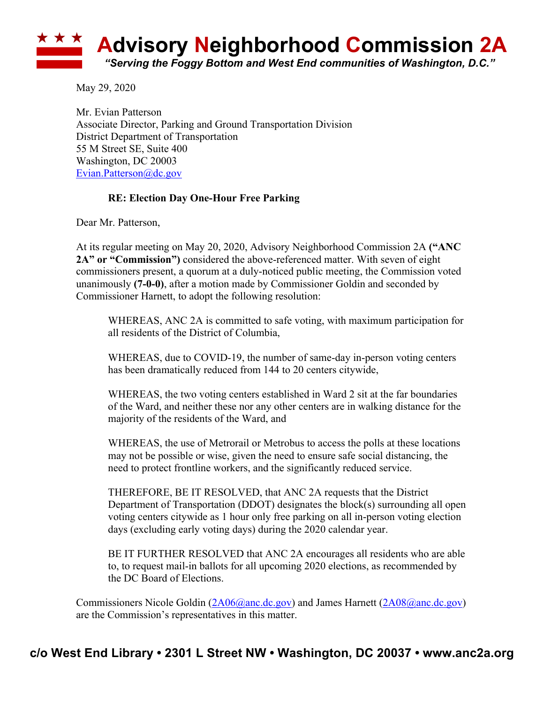## **Advisory Neighborhood Commission 2A** *"Serving the Foggy Bottom and West End communities of Washington, D.C."*

May 29, 2020

Mr. Evian Patterson Associate Director, Parking and Ground Transportation Division District Department of Transportation 55 M Street SE, Suite 400 Washington, DC 20003 Evian.Patterson@dc.gov

## **RE: Election Day One-Hour Free Parking**

Dear Mr. Patterson,

At its regular meeting on May 20, 2020, Advisory Neighborhood Commission 2A **("ANC 2A" or "Commission")** considered the above-referenced matter. With seven of eight commissioners present, a quorum at a duly-noticed public meeting, the Commission voted unanimously **(7-0-0)**, after a motion made by Commissioner Goldin and seconded by Commissioner Harnett, to adopt the following resolution:

WHEREAS, ANC 2A is committed to safe voting, with maximum participation for all residents of the District of Columbia,

WHEREAS, due to COVID-19, the number of same-day in-person voting centers has been dramatically reduced from 144 to 20 centers citywide,

WHEREAS, the two voting centers established in Ward 2 sit at the far boundaries of the Ward, and neither these nor any other centers are in walking distance for the majority of the residents of the Ward, and

WHEREAS, the use of Metrorail or Metrobus to access the polls at these locations may not be possible or wise, given the need to ensure safe social distancing, the need to protect frontline workers, and the significantly reduced service.

THEREFORE, BE IT RESOLVED, that ANC 2A requests that the District Department of Transportation (DDOT) designates the block(s) surrounding all open voting centers citywide as 1 hour only free parking on all in-person voting election days (excluding early voting days) during the 2020 calendar year.

BE IT FURTHER RESOLVED that ANC 2A encourages all residents who are able to, to request mail-in ballots for all upcoming 2020 elections, as recommended by the DC Board of Elections.

Commissioners Nicole Goldin (2A06@anc.dc.gov) and James Harnett (2A08@anc.dc.gov) are the Commission's representatives in this matter.